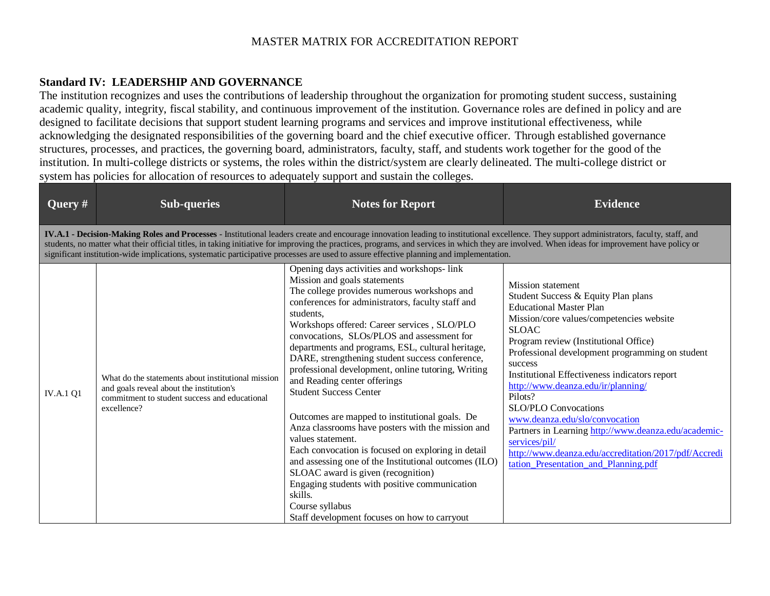## **Standard IV: LEADERSHIP AND GOVERNANCE**

The institution recognizes and uses the contributions of leadership throughout the organization for promoting student success, sustaining academic quality, integrity, fiscal stability, and continuous improvement of the institution. Governance roles are defined in policy and are designed to facilitate decisions that support student learning programs and services and improve institutional effectiveness, while acknowledging the designated responsibilities of the governing board and the chief executive officer. Through established governance structures, processes, and practices, the governing board, administrators, faculty, staff, and students work together for the good of the institution. In multi-college districts or systems, the roles within the district/system are clearly delineated. The multi-college district or system has policies for allocation of resources to adequately support and sustain the colleges.

| Query $#$                                                                                                                                                                                                                                                                                                                                                                                                                                                                                                                               | <b>Sub-queries</b>                                                                                                                                             | <b>Notes for Report</b>                                                                                                                                                                                                                                                                                                                                                                                                                                                                                                                                                                                                                                                                                                                                                                                                                                                                                                                 | <b>Evidence</b>                                                                                                                                                                                                                                                                                                                                                                                                                                                                                                                                                                                                  |  |
|-----------------------------------------------------------------------------------------------------------------------------------------------------------------------------------------------------------------------------------------------------------------------------------------------------------------------------------------------------------------------------------------------------------------------------------------------------------------------------------------------------------------------------------------|----------------------------------------------------------------------------------------------------------------------------------------------------------------|-----------------------------------------------------------------------------------------------------------------------------------------------------------------------------------------------------------------------------------------------------------------------------------------------------------------------------------------------------------------------------------------------------------------------------------------------------------------------------------------------------------------------------------------------------------------------------------------------------------------------------------------------------------------------------------------------------------------------------------------------------------------------------------------------------------------------------------------------------------------------------------------------------------------------------------------|------------------------------------------------------------------------------------------------------------------------------------------------------------------------------------------------------------------------------------------------------------------------------------------------------------------------------------------------------------------------------------------------------------------------------------------------------------------------------------------------------------------------------------------------------------------------------------------------------------------|--|
| IV.A.1 - Decision-Making Roles and Processes - Institutional leaders create and encourage innovation leading to institutional excellence. They support administrators, faculty, staff, and<br>students, no matter what their official titles, in taking initiative for improving the practices, programs, and services in which they are involved. When ideas for improvement have policy or<br>significant institution-wide implications, systematic participative processes are used to assure effective planning and implementation. |                                                                                                                                                                |                                                                                                                                                                                                                                                                                                                                                                                                                                                                                                                                                                                                                                                                                                                                                                                                                                                                                                                                         |                                                                                                                                                                                                                                                                                                                                                                                                                                                                                                                                                                                                                  |  |
| <b>IV.A.1 Q1</b>                                                                                                                                                                                                                                                                                                                                                                                                                                                                                                                        | What do the statements about institutional mission<br>and goals reveal about the institution's<br>commitment to student success and educational<br>excellence? | Opening days activities and workshops-link<br>Mission and goals statements<br>The college provides numerous workshops and<br>conferences for administrators, faculty staff and<br>students,<br>Workshops offered: Career services, SLO/PLO<br>convocations, SLOs/PLOS and assessment for<br>departments and programs, ESL, cultural heritage,<br>DARE, strengthening student success conference,<br>professional development, online tutoring, Writing<br>and Reading center offerings<br><b>Student Success Center</b><br>Outcomes are mapped to institutional goals. De<br>Anza classrooms have posters with the mission and<br>values statement.<br>Each convocation is focused on exploring in detail<br>and assessing one of the Institutional outcomes (ILO)<br>SLOAC award is given (recognition)<br>Engaging students with positive communication<br>skills.<br>Course syllabus<br>Staff development focuses on how to carryout | <b>Mission</b> statement<br>Student Success & Equity Plan plans<br><b>Educational Master Plan</b><br>Mission/core values/competencies website<br><b>SLOAC</b><br>Program review (Institutional Office)<br>Professional development programming on student<br>success<br>Institutional Effectiveness indicators report<br>http://www.deanza.edu/ir/planning/<br>Pilots?<br><b>SLO/PLO Convocations</b><br>www.deanza.edu/slo/convocation<br>Partners in Learning http://www.deanza.edu/academic-<br>services/pil/<br>http://www.deanza.edu/accreditation/2017/pdf/Accredi<br>tation_Presentation_and_Planning.pdf |  |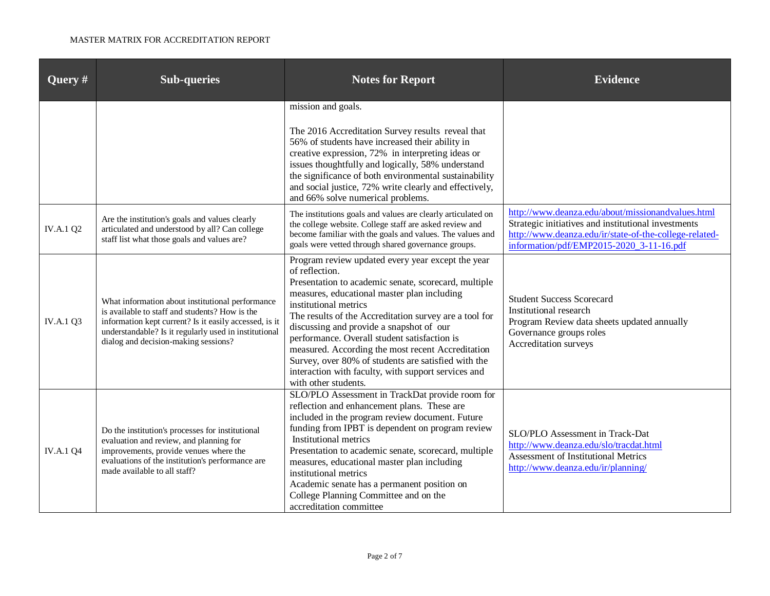| Query #          | <b>Sub-queries</b>                                                                                                                                                                                                                                            | <b>Notes for Report</b>                                                                                                                                                                                                                                                                                                                                                                                                                                                                                                                              | <b>Evidence</b>                                                                                                                                                                                                |
|------------------|---------------------------------------------------------------------------------------------------------------------------------------------------------------------------------------------------------------------------------------------------------------|------------------------------------------------------------------------------------------------------------------------------------------------------------------------------------------------------------------------------------------------------------------------------------------------------------------------------------------------------------------------------------------------------------------------------------------------------------------------------------------------------------------------------------------------------|----------------------------------------------------------------------------------------------------------------------------------------------------------------------------------------------------------------|
|                  |                                                                                                                                                                                                                                                               | mission and goals.<br>The 2016 Accreditation Survey results reveal that<br>56% of students have increased their ability in<br>creative expression, 72% in interpreting ideas or<br>issues thoughtfully and logically, 58% understand<br>the significance of both environmental sustainability<br>and social justice, 72% write clearly and effectively,<br>and 66% solve numerical problems.                                                                                                                                                         |                                                                                                                                                                                                                |
| <b>IV.A.1 Q2</b> | Are the institution's goals and values clearly<br>articulated and understood by all? Can college<br>staff list what those goals and values are?                                                                                                               | The institutions goals and values are clearly articulated on<br>the college website. College staff are asked review and<br>become familiar with the goals and values. The values and<br>goals were vetted through shared governance groups.                                                                                                                                                                                                                                                                                                          | http://www.deanza.edu/about/missionandvalues.html<br>Strategic initiatives and institutional investments<br>http://www.deanza.edu/ir/state-of-the-college-related-<br>information/pdf/EMP2015-2020 3-11-16.pdf |
| <b>IV.A.1 Q3</b> | What information about institutional performance<br>is available to staff and students? How is the<br>information kept current? Is it easily accessed, is it<br>understandable? Is it regularly used in institutional<br>dialog and decision-making sessions? | Program review updated every year except the year<br>of reflection.<br>Presentation to academic senate, scorecard, multiple<br>measures, educational master plan including<br>institutional metrics<br>The results of the Accreditation survey are a tool for<br>discussing and provide a snapshot of our<br>performance. Overall student satisfaction is<br>measured. According the most recent Accreditation<br>Survey, over 80% of students are satisfied with the<br>interaction with faculty, with support services and<br>with other students. | <b>Student Success Scorecard</b><br>Institutional research<br>Program Review data sheets updated annually<br>Governance groups roles<br>Accreditation surveys                                                  |
| <b>IV.A.1 Q4</b> | Do the institution's processes for institutional<br>evaluation and review, and planning for<br>improvements, provide venues where the<br>evaluations of the institution's performance are<br>made available to all staff?                                     | SLO/PLO Assessment in TrackDat provide room for<br>reflection and enhancement plans. These are<br>included in the program review document. Future<br>funding from IPBT is dependent on program review<br><b>Institutional metrics</b><br>Presentation to academic senate, scorecard, multiple<br>measures, educational master plan including<br>institutional metrics<br>Academic senate has a permanent position on<br>College Planning Committee and on the<br>accreditation committee                                                             | SLO/PLO Assessment in Track-Dat<br>http://www.deanza.edu/slo/tracdat.html<br><b>Assessment of Institutional Metrics</b><br>http://www.deanza.edu/ir/planning/                                                  |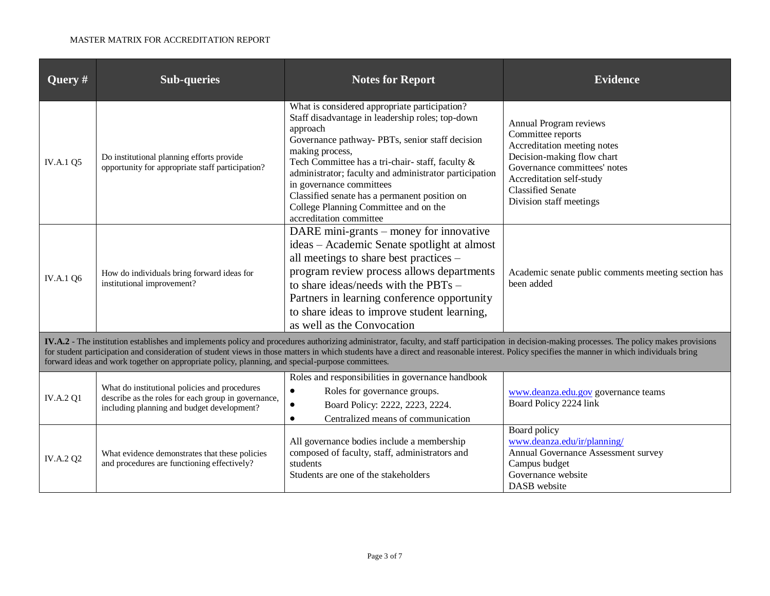| Query #                                                                                                                                                                                                                                                                                                                                                                                                                                                                                              | <b>Sub-queries</b>                                                                                                                                 | <b>Notes for Report</b>                                                                                                                                                                                                                                                                                                                                                                                                                           | <b>Evidence</b>                                                                                                                                                                                                             |  |
|------------------------------------------------------------------------------------------------------------------------------------------------------------------------------------------------------------------------------------------------------------------------------------------------------------------------------------------------------------------------------------------------------------------------------------------------------------------------------------------------------|----------------------------------------------------------------------------------------------------------------------------------------------------|---------------------------------------------------------------------------------------------------------------------------------------------------------------------------------------------------------------------------------------------------------------------------------------------------------------------------------------------------------------------------------------------------------------------------------------------------|-----------------------------------------------------------------------------------------------------------------------------------------------------------------------------------------------------------------------------|--|
| <b>IV.A.1 Q5</b>                                                                                                                                                                                                                                                                                                                                                                                                                                                                                     | Do institutional planning efforts provide<br>opportunity for appropriate staff participation?                                                      | What is considered appropriate participation?<br>Staff disadvantage in leadership roles; top-down<br>approach<br>Governance pathway- PBTs, senior staff decision<br>making process,<br>Tech Committee has a tri-chair-staff, faculty &<br>administrator; faculty and administrator participation<br>in governance committees<br>Classified senate has a permanent position on<br>College Planning Committee and on the<br>accreditation committee | Annual Program reviews<br>Committee reports<br>Accreditation meeting notes<br>Decision-making flow chart<br>Governance committees' notes<br>Accreditation self-study<br><b>Classified Senate</b><br>Division staff meetings |  |
| <b>IV.A.1 Q6</b>                                                                                                                                                                                                                                                                                                                                                                                                                                                                                     | How do individuals bring forward ideas for<br>institutional improvement?                                                                           | DARE mini-grants – money for innovative<br>ideas - Academic Senate spotlight at almost<br>all meetings to share best practices -<br>program review process allows departments<br>to share ideas/needs with the PBTs $-$<br>Partners in learning conference opportunity<br>to share ideas to improve student learning,<br>as well as the Convocation                                                                                               | Academic senate public comments meeting section has<br>been added                                                                                                                                                           |  |
| IV.A.2 - The institution establishes and implements policy and procedures authorizing administrator, faculty, and staff participation in decision-making processes. The policy makes provisions<br>for student participation and consideration of student views in those matters in which students have a direct and reasonable interest. Policy specifies the manner in which individuals bring<br>forward ideas and work together on appropriate policy, planning, and special-purpose committees. |                                                                                                                                                    |                                                                                                                                                                                                                                                                                                                                                                                                                                                   |                                                                                                                                                                                                                             |  |
| <b>IV.A.2 Q1</b>                                                                                                                                                                                                                                                                                                                                                                                                                                                                                     | What do institutional policies and procedures<br>describe as the roles for each group in governance,<br>including planning and budget development? | Roles and responsibilities in governance handbook<br>Roles for governance groups.<br>$\bullet$<br>Board Policy: 2222, 2223, 2224.<br>Centralized means of communication<br>$\bullet$                                                                                                                                                                                                                                                              | www.deanza.edu.gov governance teams<br>Board Policy 2224 link                                                                                                                                                               |  |
| <b>IV.A.2 Q2</b>                                                                                                                                                                                                                                                                                                                                                                                                                                                                                     | What evidence demonstrates that these policies<br>and procedures are functioning effectively?                                                      | All governance bodies include a membership<br>composed of faculty, staff, administrators and<br>students<br>Students are one of the stakeholders                                                                                                                                                                                                                                                                                                  | Board policy<br>www.deanza.edu/ir/planning/<br>Annual Governance Assessment survey<br>Campus budget<br>Governance website<br>DASB website                                                                                   |  |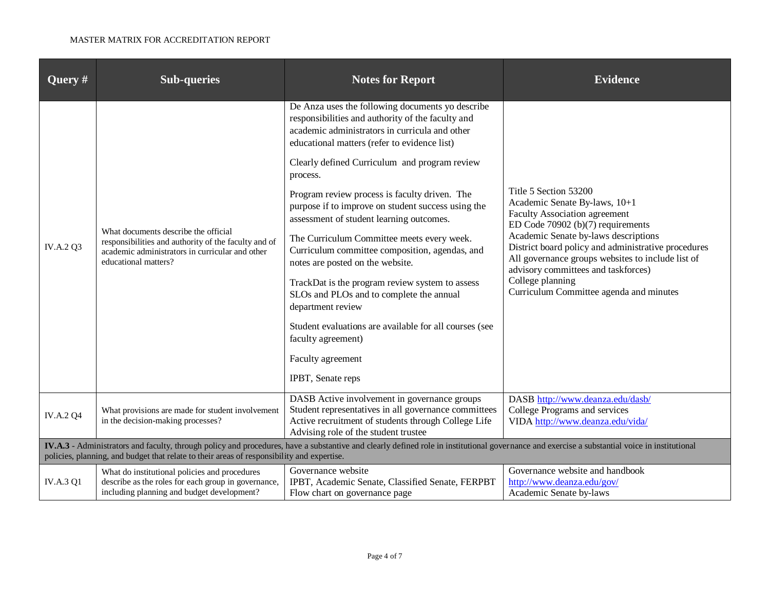| Query $#$                                                                                                                                                                                                                                                                                   | <b>Sub-queries</b>                                                                                                                                                      | <b>Notes for Report</b>                                                                                                                                                                                                                                                                                                                                                                                                                                                                                                                                                                                                                                                                                                                                                                                   | <b>Evidence</b>                                                                                                                                                                                                                                                                                                                                                                                    |
|---------------------------------------------------------------------------------------------------------------------------------------------------------------------------------------------------------------------------------------------------------------------------------------------|-------------------------------------------------------------------------------------------------------------------------------------------------------------------------|-----------------------------------------------------------------------------------------------------------------------------------------------------------------------------------------------------------------------------------------------------------------------------------------------------------------------------------------------------------------------------------------------------------------------------------------------------------------------------------------------------------------------------------------------------------------------------------------------------------------------------------------------------------------------------------------------------------------------------------------------------------------------------------------------------------|----------------------------------------------------------------------------------------------------------------------------------------------------------------------------------------------------------------------------------------------------------------------------------------------------------------------------------------------------------------------------------------------------|
| <b>IV.A.2 Q3</b>                                                                                                                                                                                                                                                                            | What documents describe the official<br>responsibilities and authority of the faculty and of<br>academic administrators in curricular and other<br>educational matters? | De Anza uses the following documents yo describe<br>responsibilities and authority of the faculty and<br>academic administrators in curricula and other<br>educational matters (refer to evidence list)<br>Clearly defined Curriculum and program review<br>process.<br>Program review process is faculty driven. The<br>purpose if to improve on student success using the<br>assessment of student learning outcomes.<br>The Curriculum Committee meets every week.<br>Curriculum committee composition, agendas, and<br>notes are posted on the website.<br>TrackDat is the program review system to assess<br>SLOs and PLOs and to complete the annual<br>department review<br>Student evaluations are available for all courses (see<br>faculty agreement)<br>Faculty agreement<br>IPBT, Senate reps | Title 5 Section 53200<br>Academic Senate By-laws, 10+1<br><b>Faculty Association agreement</b><br>ED Code $70902$ (b) $(7)$ requirements<br>Academic Senate by-laws descriptions<br>District board policy and administrative procedures<br>All governance groups websites to include list of<br>advisory committees and taskforces)<br>College planning<br>Curriculum Committee agenda and minutes |
|                                                                                                                                                                                                                                                                                             |                                                                                                                                                                         | DASB Active involvement in governance groups                                                                                                                                                                                                                                                                                                                                                                                                                                                                                                                                                                                                                                                                                                                                                              | DASB http://www.deanza.edu/dasb/                                                                                                                                                                                                                                                                                                                                                                   |
| <b>IV.A.2 Q4</b>                                                                                                                                                                                                                                                                            | What provisions are made for student involvement<br>in the decision-making processes?                                                                                   | Student representatives in all governance committees<br>Active recruitment of students through College Life<br>Advising role of the student trustee                                                                                                                                                                                                                                                                                                                                                                                                                                                                                                                                                                                                                                                       | College Programs and services<br>VIDA http://www.deanza.edu/vida/                                                                                                                                                                                                                                                                                                                                  |
| IV.A.3 - Administrators and faculty, through policy and procedures, have a substantive and clearly defined role in institutional governance and exercise a substantial voice in institutional<br>policies, planning, and budget that relate to their areas of responsibility and expertise. |                                                                                                                                                                         |                                                                                                                                                                                                                                                                                                                                                                                                                                                                                                                                                                                                                                                                                                                                                                                                           |                                                                                                                                                                                                                                                                                                                                                                                                    |
|                                                                                                                                                                                                                                                                                             | What do institutional policies and procedures                                                                                                                           | Governance website                                                                                                                                                                                                                                                                                                                                                                                                                                                                                                                                                                                                                                                                                                                                                                                        | Governance website and handbook                                                                                                                                                                                                                                                                                                                                                                    |
| <b>IV.A.3 Q1</b>                                                                                                                                                                                                                                                                            | describe as the roles for each group in governance,<br>including planning and budget development?                                                                       | IPBT, Academic Senate, Classified Senate, FERPBT<br>Flow chart on governance page                                                                                                                                                                                                                                                                                                                                                                                                                                                                                                                                                                                                                                                                                                                         | http://www.deanza.edu/gov/<br>Academic Senate by-laws                                                                                                                                                                                                                                                                                                                                              |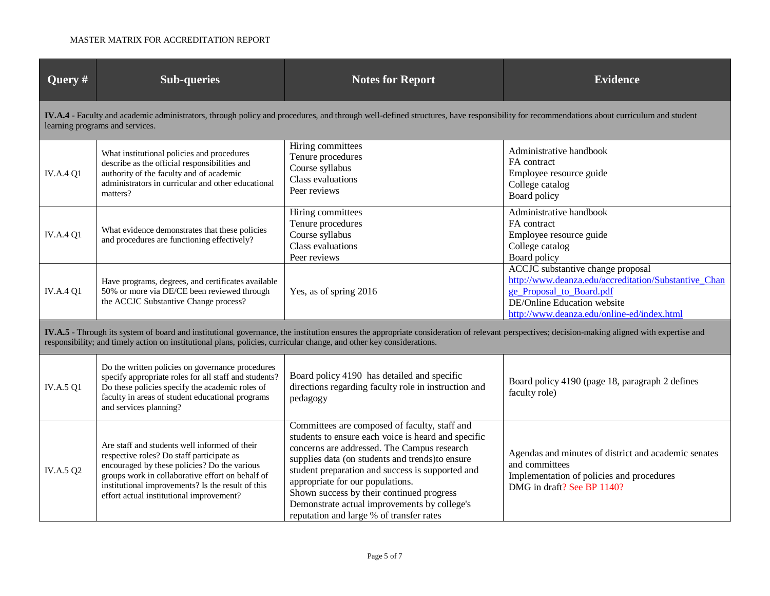| Query #                                                                                                                                                                                                                                                                                                               | <b>Sub-queries</b>                                                                                                                                                                                                                                                                              | <b>Notes for Report</b>                                                                                                                                                                                                                                                                                                                                                                                                                  | <b>Evidence</b>                                                                                                                                                                                    |  |  |
|-----------------------------------------------------------------------------------------------------------------------------------------------------------------------------------------------------------------------------------------------------------------------------------------------------------------------|-------------------------------------------------------------------------------------------------------------------------------------------------------------------------------------------------------------------------------------------------------------------------------------------------|------------------------------------------------------------------------------------------------------------------------------------------------------------------------------------------------------------------------------------------------------------------------------------------------------------------------------------------------------------------------------------------------------------------------------------------|----------------------------------------------------------------------------------------------------------------------------------------------------------------------------------------------------|--|--|
|                                                                                                                                                                                                                                                                                                                       | IV.A.4 - Faculty and academic administrators, through policy and procedures, and through well-defined structures, have responsibility for recommendations about curriculum and student<br>learning programs and services.                                                                       |                                                                                                                                                                                                                                                                                                                                                                                                                                          |                                                                                                                                                                                                    |  |  |
| <b>IV.A.4 Q1</b>                                                                                                                                                                                                                                                                                                      | What institutional policies and procedures<br>describe as the official responsibilities and<br>authority of the faculty and of academic<br>administrators in curricular and other educational<br>matters?                                                                                       | Hiring committees<br>Tenure procedures<br>Course syllabus<br>Class evaluations<br>Peer reviews                                                                                                                                                                                                                                                                                                                                           | Administrative handbook<br>FA contract<br>Employee resource guide<br>College catalog<br>Board policy                                                                                               |  |  |
| <b>IV.A.4 Q1</b>                                                                                                                                                                                                                                                                                                      | What evidence demonstrates that these policies<br>and procedures are functioning effectively?                                                                                                                                                                                                   | Hiring committees<br>Tenure procedures<br>Course syllabus<br>Class evaluations<br>Peer reviews                                                                                                                                                                                                                                                                                                                                           | Administrative handbook<br>FA contract<br>Employee resource guide<br>College catalog<br>Board policy                                                                                               |  |  |
| <b>IV.A.4 Q1</b>                                                                                                                                                                                                                                                                                                      | Have programs, degrees, and certificates available<br>50% or more via DE/CE been reviewed through<br>the ACCJC Substantive Change process?                                                                                                                                                      | Yes, as of spring 2016                                                                                                                                                                                                                                                                                                                                                                                                                   | ACCJC substantive change proposal<br>http://www.deanza.edu/accreditation/Substantive Chan<br>ge Proposal to Board.pdf<br>DE/Online Education website<br>http://www.deanza.edu/online-ed/index.html |  |  |
| IV.A.5 - Through its system of board and institutional governance, the institution ensures the appropriate consideration of relevant perspectives; decision-making aligned with expertise and<br>responsibility; and timely action on institutional plans, policies, curricular change, and other key considerations. |                                                                                                                                                                                                                                                                                                 |                                                                                                                                                                                                                                                                                                                                                                                                                                          |                                                                                                                                                                                                    |  |  |
| <b>IV.A.5 Q1</b>                                                                                                                                                                                                                                                                                                      | Do the written policies on governance procedures<br>specify appropriate roles for all staff and students?<br>Do these policies specify the academic roles of<br>faculty in areas of student educational programs<br>and services planning?                                                      | Board policy 4190 has detailed and specific<br>directions regarding faculty role in instruction and<br>pedagogy                                                                                                                                                                                                                                                                                                                          | Board policy 4190 (page 18, paragraph 2 defines<br>faculty role)                                                                                                                                   |  |  |
| IV.A.5 Q2                                                                                                                                                                                                                                                                                                             | Are staff and students well informed of their<br>respective roles? Do staff participate as<br>encouraged by these policies? Do the various<br>groups work in collaborative effort on behalf of<br>institutional improvements? Is the result of this<br>effort actual institutional improvement? | Committees are composed of faculty, staff and<br>students to ensure each voice is heard and specific<br>concerns are addressed. The Campus research<br>supplies data (on students and trends) to ensure<br>student preparation and success is supported and<br>appropriate for our populations.<br>Shown success by their continued progress<br>Demonstrate actual improvements by college's<br>reputation and large % of transfer rates | Agendas and minutes of district and academic senates<br>and committees<br>Implementation of policies and procedures<br>DMG in draft? See BP 1140?                                                  |  |  |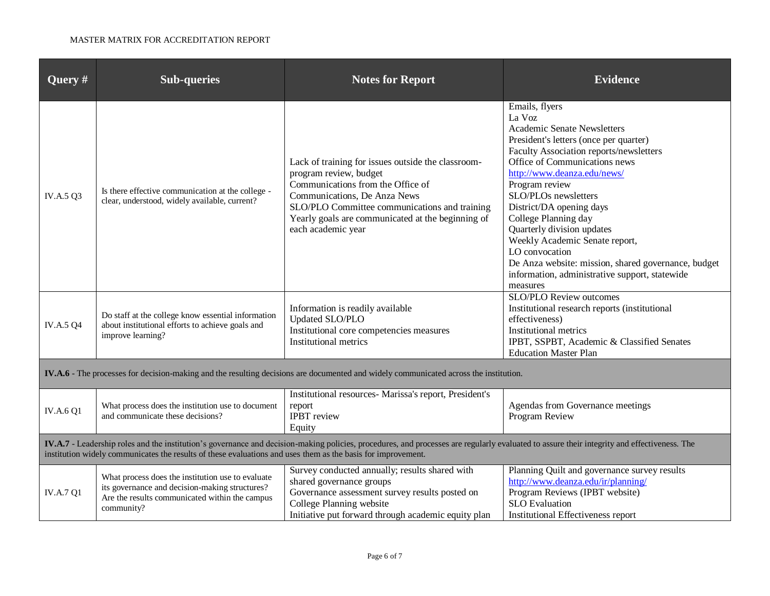| <b>Query</b> #                                                                                                                                                                                                                                                                                              | <b>Sub-queries</b>                                                                                                                                                  | <b>Notes for Report</b>                                                                                                                                                                                                                                                       | <b>Evidence</b>                                                                                                                                                                                                                                                                                                                                                                                                                                                                                                          |  |
|-------------------------------------------------------------------------------------------------------------------------------------------------------------------------------------------------------------------------------------------------------------------------------------------------------------|---------------------------------------------------------------------------------------------------------------------------------------------------------------------|-------------------------------------------------------------------------------------------------------------------------------------------------------------------------------------------------------------------------------------------------------------------------------|--------------------------------------------------------------------------------------------------------------------------------------------------------------------------------------------------------------------------------------------------------------------------------------------------------------------------------------------------------------------------------------------------------------------------------------------------------------------------------------------------------------------------|--|
| IV.A.5 Q3                                                                                                                                                                                                                                                                                                   | Is there effective communication at the college -<br>clear, understood, widely available, current?                                                                  | Lack of training for issues outside the classroom-<br>program review, budget<br>Communications from the Office of<br>Communications, De Anza News<br>SLO/PLO Committee communications and training<br>Yearly goals are communicated at the beginning of<br>each academic year | Emails, flyers<br>La Voz<br><b>Academic Senate Newsletters</b><br>President's letters (once per quarter)<br>Faculty Association reports/newsletters<br>Office of Communications news<br>http://www.deanza.edu/news/<br>Program review<br>SLO/PLOs newsletters<br>District/DA opening days<br>College Planning day<br>Quarterly division updates<br>Weekly Academic Senate report,<br>LO convocation<br>De Anza website: mission, shared governance, budget<br>information, administrative support, statewide<br>measures |  |
| <b>IV.A.5 Q4</b>                                                                                                                                                                                                                                                                                            | Do staff at the college know essential information<br>about institutional efforts to achieve goals and<br>improve learning?                                         | Information is readily available<br>Updated SLO/PLO<br>Institutional core competencies measures<br>Institutional metrics                                                                                                                                                      | SLO/PLO Review outcomes<br>Institutional research reports (institutional<br>effectiveness)<br><b>Institutional metrics</b><br>IPBT, SSPBT, Academic & Classified Senates<br><b>Education Master Plan</b>                                                                                                                                                                                                                                                                                                                 |  |
| IV.A.6 - The processes for decision-making and the resulting decisions are documented and widely communicated across the institution.                                                                                                                                                                       |                                                                                                                                                                     |                                                                                                                                                                                                                                                                               |                                                                                                                                                                                                                                                                                                                                                                                                                                                                                                                          |  |
| <b>IV.A.6 Q1</b>                                                                                                                                                                                                                                                                                            | What process does the institution use to document<br>and communicate these decisions?                                                                               | Institutional resources- Marissa's report, President's<br>report<br><b>IPBT</b> review<br>Equity                                                                                                                                                                              | Agendas from Governance meetings<br>Program Review                                                                                                                                                                                                                                                                                                                                                                                                                                                                       |  |
| IV.A.7 - Leadership roles and the institution's governance and decision-making policies, procedures, and processes are regularly evaluated to assure their integrity and effectiveness. The<br>institution widely communicates the results of these evaluations and uses them as the basis for improvement. |                                                                                                                                                                     |                                                                                                                                                                                                                                                                               |                                                                                                                                                                                                                                                                                                                                                                                                                                                                                                                          |  |
| <b>IV.A.7 Q1</b>                                                                                                                                                                                                                                                                                            | What process does the institution use to evaluate<br>its governance and decision-making structures?<br>Are the results communicated within the campus<br>community? | Survey conducted annually; results shared with<br>shared governance groups<br>Governance assessment survey results posted on<br>College Planning website<br>Initiative put forward through academic equity plan                                                               | Planning Quilt and governance survey results<br>http://www.deanza.edu/ir/planning/<br>Program Reviews (IPBT website)<br><b>SLO</b> Evaluation<br>Institutional Effectiveness report                                                                                                                                                                                                                                                                                                                                      |  |